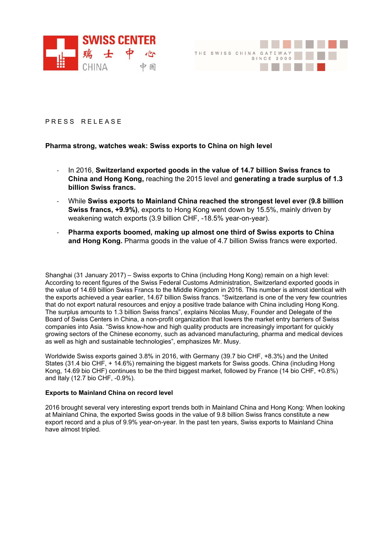



PRESS RELEASE

## **Pharma strong, watches weak: Swiss exports to China on high level**

- ‐ In 2016, **Switzerland exported goods in the value of 14.7 billion Swiss francs to China and Hong Kong,** reaching the 2015 level and **generating a trade surplus of 1.3 billion Swiss francs.**
- ‐ While **Swiss exports to Mainland China reached the strongest level ever (9.8 billion Swiss francs, +9.9%)**, exports to Hong Kong went down by 15.5%, mainly driven by weakening watch exports (3.9 billion CHF, -18.5% year-on-year).
- ‐ **Pharma exports boomed, making up almost one third of Swiss exports to China and Hong Kong.** Pharma goods in the value of 4.7 billion Swiss francs were exported.

Shanghai (31 January 2017) – Swiss exports to China (including Hong Kong) remain on a high level: According to recent figures of the Swiss Federal Customs Administration, Switzerland exported goods in the value of 14.69 billion Swiss Francs to the Middle Kingdom in 2016. This number is almost identical with the exports achieved a year earlier, 14.67 billion Swiss francs. "Switzerland is one of the very few countries that do not export natural resources and enjoy a positive trade balance with China including Hong Kong. The surplus amounts to 1.3 billion Swiss francs", explains Nicolas Musy, Founder and Delegate of the Board of Swiss Centers in China, a non-profit organization that lowers the market entry barriers of Swiss companies into Asia. "Swiss know-how and high quality products are increasingly important for quickly growing sectors of the Chinese economy, such as advanced manufacturing, pharma and medical devices as well as high and sustainable technologies", emphasizes Mr. Musy.

Worldwide Swiss exports gained 3.8% in 2016, with Germany (39.7 bio CHF, +8.3%) and the United States (31.4 bio CHF, + 14.6%) remaining the biggest markets for Swiss goods. China (including Hong Kong, 14.69 bio CHF) continues to be the third biggest market, followed by France (14 bio CHF, +0.8%) and Italy (12.7 bio CHF, -0.9%).

## **Exports to Mainland China on record level**

2016 brought several very interesting export trends both in Mainland China and Hong Kong: When looking at Mainland China, the exported Swiss goods in the value of 9.8 billion Swiss francs constitute a new export record and a plus of 9.9% year-on-year. In the past ten years, Swiss exports to Mainland China have almost tripled.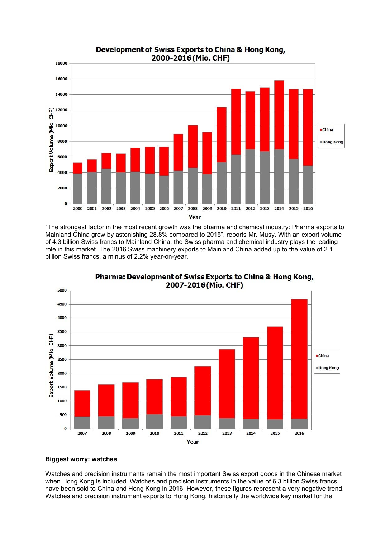

Development of Swiss Exports to China & Hong Kong,

"The strongest factor in the most recent growth was the pharma and chemical industry: Pharma exports to Mainland China grew by astonishing 28.8% compared to 2015", reports Mr. Musy. With an export volume of 4.3 billion Swiss francs to Mainland China, the Swiss pharma and chemical industry plays the leading role in this market. The 2016 Swiss machinery exports to Mainland China added up to the value of 2.1 billion Swiss francs, a minus of 2.2% year-on-year.



Pharma: Development of Swiss Exports to China & Hong Kong,

## **Biggest worry: watches**

Watches and precision instruments remain the most important Swiss export goods in the Chinese market when Hong Kong is included. Watches and precision instruments in the value of 6.3 billion Swiss francs have been sold to China and Hong Kong in 2016. However, these figures represent a very negative trend. Watches and precision instrument exports to Hong Kong, historically the worldwide key market for the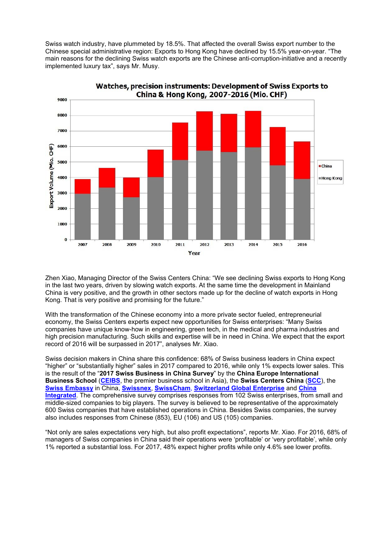Swiss watch industry, have plummeted by 18.5%. That affected the overall Swiss export number to the Chinese special administrative region: Exports to Hong Kong have declined by 15.5% year-on-year. "The main reasons for the declining Swiss watch exports are the Chinese anti-corruption-initiative and a recently implemented luxury tax", says Mr. Musy.



Watches, precision instruments: Development of Swiss Exports to China & Hong Kong, 2007-2016 (Mio. CHF)

Zhen Xiao, Managing Director of the Swiss Centers China: "We see declining Swiss exports to Hong Kong in the last two years, driven by slowing watch exports. At the same time the development in Mainland China is very positive, and the growth in other sectors made up for the decline of watch exports in Hong Kong. That is very positive and promising for the future."

With the transformation of the Chinese economy into a more private sector fueled, entrepreneurial economy, the Swiss Centers experts expect new opportunities for Swiss enterprises: "Many Swiss companies have unique know-how in engineering, green tech, in the medical and pharma industries and high precision manufacturing. Such skills and expertise will be in need in China. We expect that the export record of 2016 will be surpassed in 2017", analyses Mr. Xiao.

Swiss decision makers in China share this confidence: 68% of Swiss business leaders in China expect "higher" or "substantially higher" sales in 2017 compared to 2016, while only 1% expects lower sales. This is the result of the "**2017 Swiss Business in China Survey**" by the **China Europe International Business School** (**CEIBS**, the premier business school in Asia), the **Swiss Centers China** (**SCC**), the **Swiss Embassy** in China, **Swissnex**, **SwissCham**, **Switzerland Global Enterprise** and **China Integrated**. The comprehensive survey comprises responses from 102 Swiss enterprises, from small and middle-sized companies to big players. The survey is believed to be representative of the approximately 600 Swiss companies that have established operations in China. Besides Swiss companies, the survey also includes responses from Chinese (853), EU (106) and US (105) companies.

"Not only are sales expectations very high, but also profit expectations", reports Mr. Xiao. For 2016, 68% of managers of Swiss companies in China said their operations were 'profitable' or 'very profitable', while only 1% reported a substantial loss. For 2017, 48% expect higher profits while only 4.6% see lower profits.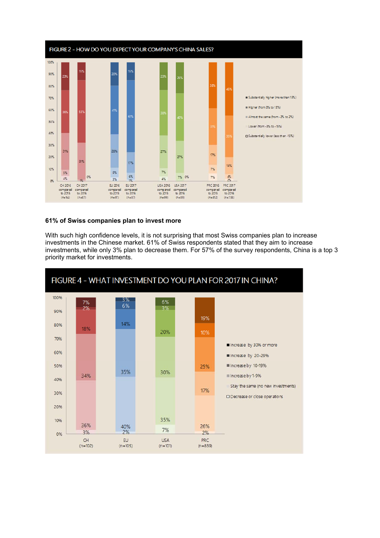

## **61% of Swiss companies plan to invest more**

With such high confidence levels, it is not surprising that most Swiss companies plan to increase investments in the Chinese market. 61% of Swiss respondents stated that they aim to increase investments, while only 3% plan to decrease them. For 57% of the survey respondents, China is a top 3 priority market for investments.